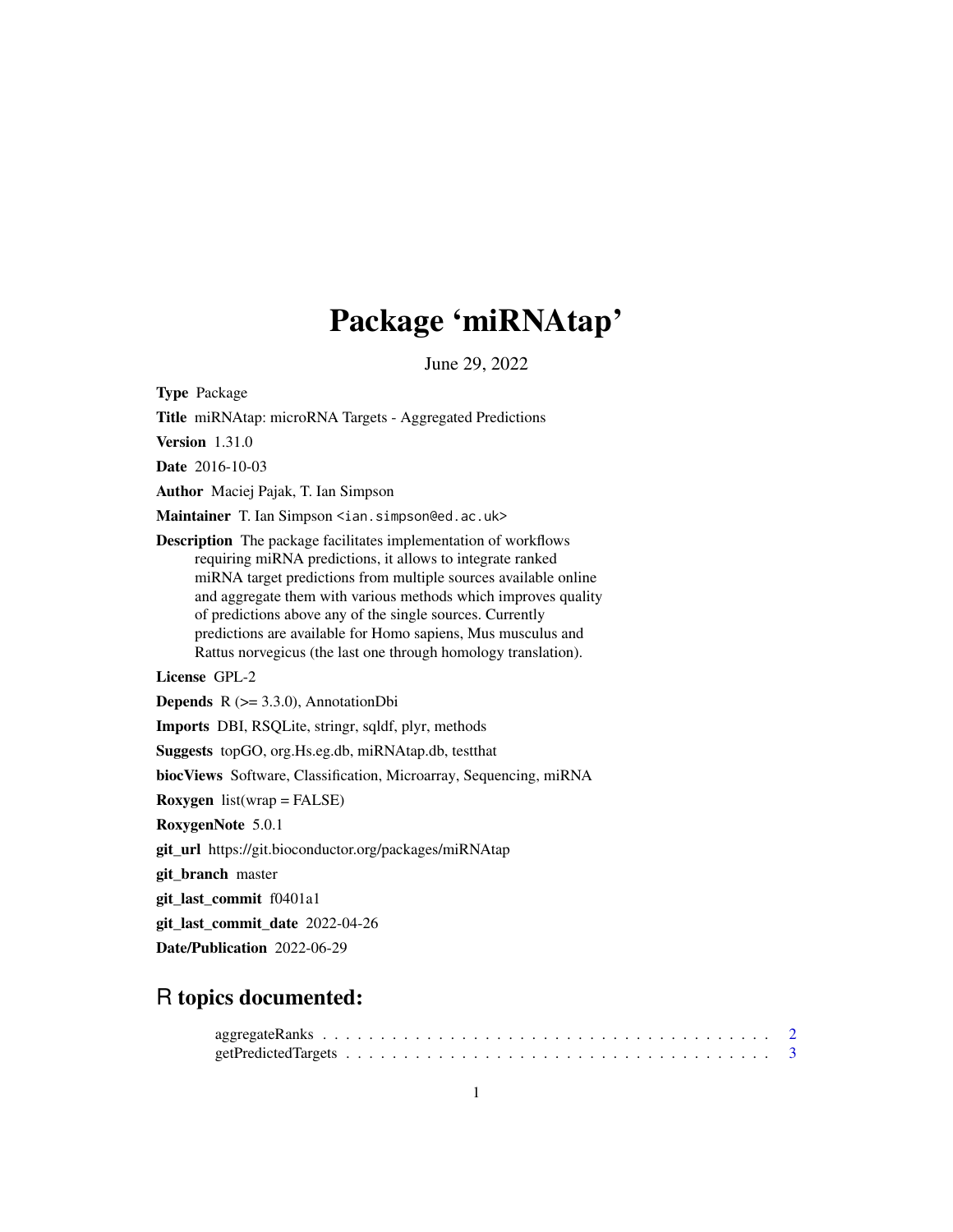# Package 'miRNAtap'

June 29, 2022

Type Package

Title miRNAtap: microRNA Targets - Aggregated Predictions Version 1.31.0 Date 2016-10-03 Author Maciej Pajak, T. Ian Simpson Maintainer T. Ian Simpson <ian.simpson@ed.ac.uk> Description The package facilitates implementation of workflows requiring miRNA predictions, it allows to integrate ranked miRNA target predictions from multiple sources available online and aggregate them with various methods which improves quality of predictions above any of the single sources. Currently predictions are available for Homo sapiens, Mus musculus and Rattus norvegicus (the last one through homology translation). License GPL-2 **Depends**  $R$  ( $>= 3.3.0$ ), AnnotationDbi Imports DBI, RSQLite, stringr, sqldf, plyr, methods Suggests topGO, org.Hs.eg.db, miRNAtap.db, testthat biocViews Software, Classification, Microarray, Sequencing, miRNA **Roxygen** list(wrap = FALSE) RoxygenNote 5.0.1 git\_url https://git.bioconductor.org/packages/miRNAtap git\_branch master git\_last\_commit f0401a1 git\_last\_commit\_date 2022-04-26 Date/Publication 2022-06-29

# R topics documented: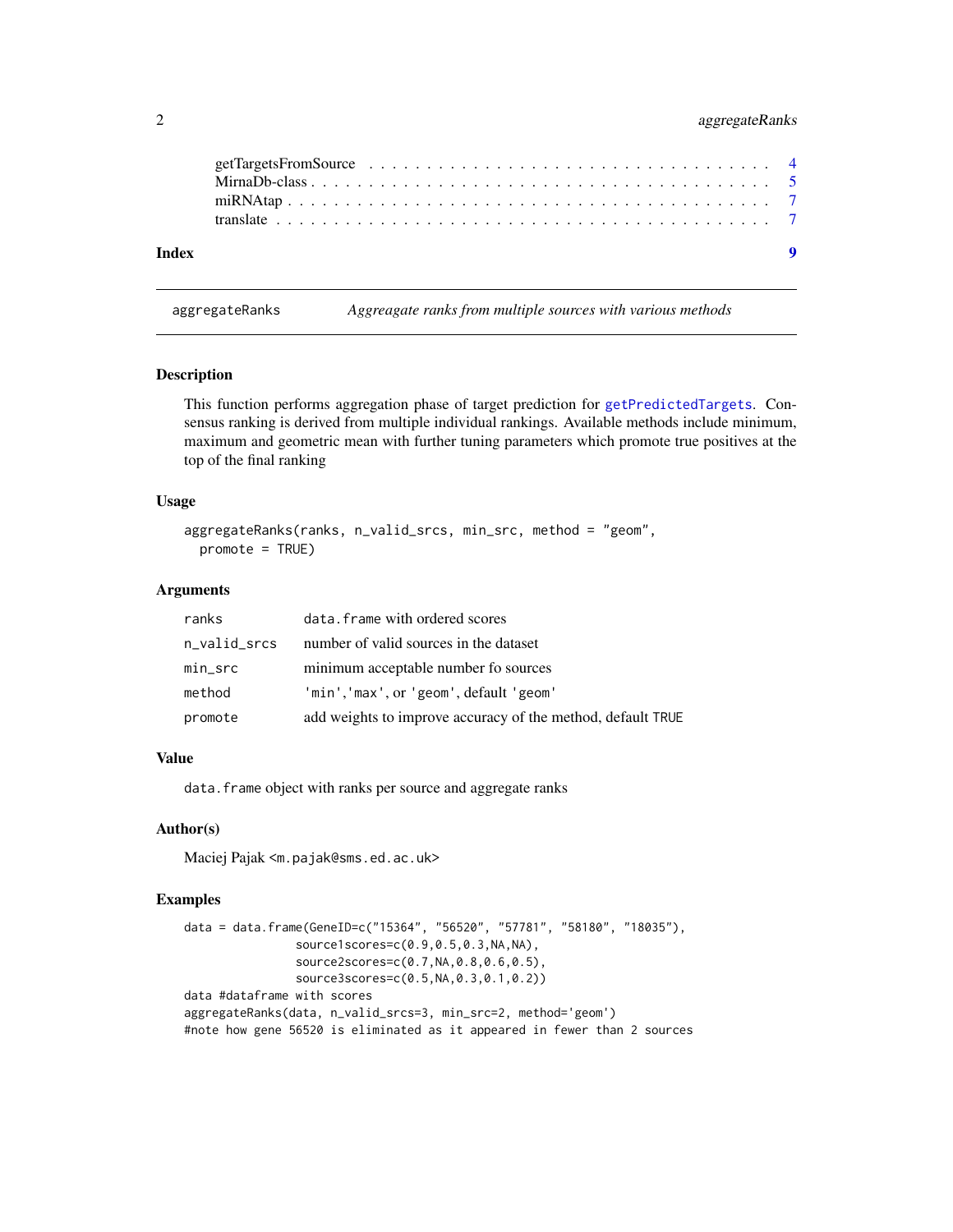# <span id="page-1-0"></span>2 aggregateRanks

| Index |  |  |  |  |  |  |  |  |  |  |  |  |  |  |  | $\bullet$ |
|-------|--|--|--|--|--|--|--|--|--|--|--|--|--|--|--|-----------|
|       |  |  |  |  |  |  |  |  |  |  |  |  |  |  |  |           |
|       |  |  |  |  |  |  |  |  |  |  |  |  |  |  |  |           |
|       |  |  |  |  |  |  |  |  |  |  |  |  |  |  |  |           |
|       |  |  |  |  |  |  |  |  |  |  |  |  |  |  |  |           |

aggregateRanks *Aggreagate ranks from multiple sources with various methods*

#### Description

This function performs aggregation phase of target prediction for [getPredictedTargets](#page-2-1). Consensus ranking is derived from multiple individual rankings. Available methods include minimum, maximum and geometric mean with further tuning parameters which promote true positives at the top of the final ranking

#### Usage

```
aggregateRanks(ranks, n_valid_srcs, min_src, method = "geom",
 promote = TRUE)
```
#### Arguments

| ranks        | data. frame with ordered scores                             |
|--------------|-------------------------------------------------------------|
| n_valid_srcs | number of valid sources in the dataset                      |
| $min\_src$   | minimum acceptable number fo sources                        |
| method       | 'min','max', or 'geom', default 'geom'                      |
| promote      | add weights to improve accuracy of the method, default TRUE |

#### Value

data. frame object with ranks per source and aggregate ranks

#### Author(s)

Maciej Pajak <m.pajak@sms.ed.ac.uk>

# Examples

```
data = data.frame(GeneID=c("15364", "56520", "57781", "58180", "18035"),
                source1scores=c(0.9,0.5,0.3,NA,NA),
                source2scores=c(0.7,NA,0.8,0.6,0.5),
                source3scores=c(0.5,NA,0.3,0.1,0.2))
data #dataframe with scores
aggregateRanks(data, n_valid_srcs=3, min_src=2, method='geom')
#note how gene 56520 is eliminated as it appeared in fewer than 2 sources
```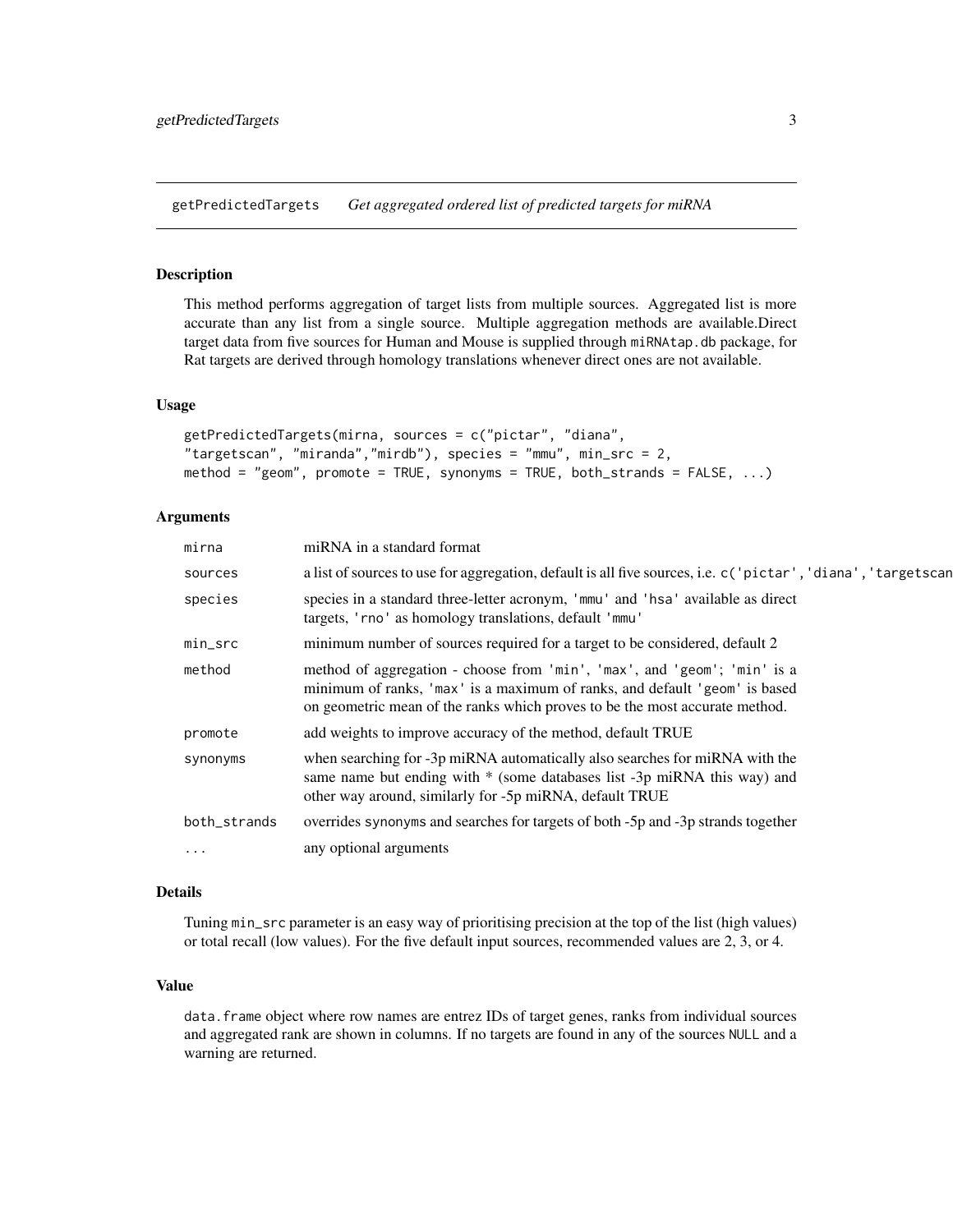<span id="page-2-1"></span><span id="page-2-0"></span>getPredictedTargets *Get aggregated ordered list of predicted targets for miRNA*

#### Description

This method performs aggregation of target lists from multiple sources. Aggregated list is more accurate than any list from a single source. Multiple aggregation methods are available.Direct target data from five sources for Human and Mouse is supplied through miRNAtap.db package, for Rat targets are derived through homology translations whenever direct ones are not available.

#### Usage

```
getPredictedTargets(mirna, sources = c("pictar", "diana",
"targetscan", "miranda","mirdb"), species = "mmu", min_src = 2,
method = "geom", promote = TRUE, synonyms = TRUE, both_strands = FALSE, ...)
```
#### Arguments

| mirna        | miRNA in a standard format                                                                                                                                                                                                            |
|--------------|---------------------------------------------------------------------------------------------------------------------------------------------------------------------------------------------------------------------------------------|
| sources      | a list of sources to use for aggregation, default is all five sources, i.e. c('pictar', 'diana', 'targetscan                                                                                                                          |
| species      | species in a standard three-letter acronym, 'mmu' and 'hsa' available as direct<br>targets, 'rno' as homology translations, default 'mmu'                                                                                             |
| min_src      | minimum number of sources required for a target to be considered, default 2                                                                                                                                                           |
| method       | method of aggregation - choose from 'min', 'max', and 'geom'; 'min' is a<br>minimum of ranks, 'max' is a maximum of ranks, and default 'geom' is based<br>on geometric mean of the ranks which proves to be the most accurate method. |
| promote      | add weights to improve accuracy of the method, default TRUE                                                                                                                                                                           |
| synonyms     | when searching for -3p miRNA automatically also searches for miRNA with the<br>same name but ending with * (some databases list -3p miRNA this way) and<br>other way around, similarly for -5p miRNA, default TRUE                    |
| both_strands | overrides synonyms and searches for targets of both -5p and -3p strands together                                                                                                                                                      |
| $\cdots$     | any optional arguments                                                                                                                                                                                                                |
|              |                                                                                                                                                                                                                                       |

## Details

Tuning min\_src parameter is an easy way of prioritising precision at the top of the list (high values) or total recall (low values). For the five default input sources, recommended values are 2, 3, or 4.

#### Value

data.frame object where row names are entrez IDs of target genes, ranks from individual sources and aggregated rank are shown in columns. If no targets are found in any of the sources NULL and a warning are returned.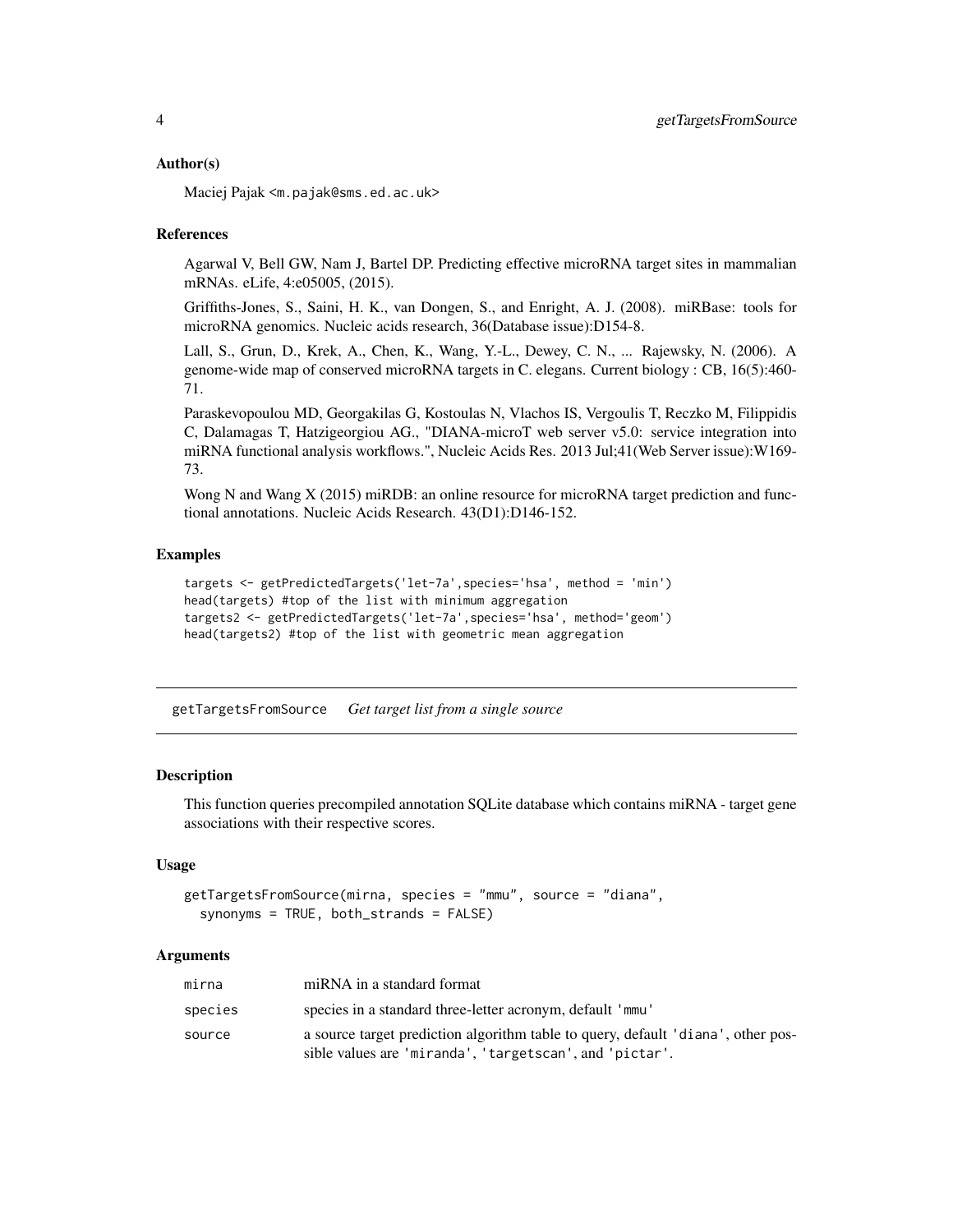#### <span id="page-3-0"></span>Author(s)

Maciej Pajak <m.pajak@sms.ed.ac.uk>

#### **References**

Agarwal V, Bell GW, Nam J, Bartel DP. Predicting effective microRNA target sites in mammalian mRNAs. eLife, 4:e05005, (2015).

Griffiths-Jones, S., Saini, H. K., van Dongen, S., and Enright, A. J. (2008). miRBase: tools for microRNA genomics. Nucleic acids research, 36(Database issue):D154-8.

Lall, S., Grun, D., Krek, A., Chen, K., Wang, Y.-L., Dewey, C. N., ... Rajewsky, N. (2006). A genome-wide map of conserved microRNA targets in C. elegans. Current biology : CB, 16(5):460- 71.

Paraskevopoulou MD, Georgakilas G, Kostoulas N, Vlachos IS, Vergoulis T, Reczko M, Filippidis C, Dalamagas T, Hatzigeorgiou AG., "DIANA-microT web server v5.0: service integration into miRNA functional analysis workflows.", Nucleic Acids Res. 2013 Jul;41(Web Server issue):W169- 73.

Wong N and Wang X (2015) miRDB: an online resource for microRNA target prediction and functional annotations. Nucleic Acids Research. 43(D1):D146-152.

#### **Examples**

```
targets <- getPredictedTargets('let-7a',species='hsa', method = 'min')
head(targets) #top of the list with minimum aggregation
targets2 <- getPredictedTargets('let-7a',species='hsa', method='geom')
head(targets2) #top of the list with geometric mean aggregation
```
getTargetsFromSource *Get target list from a single source*

#### **Description**

This function queries precompiled annotation SQLite database which contains miRNA - target gene associations with their respective scores.

#### Usage

```
getTargetsFromSource(mirna, species = "mmu", source = "diana",
  synonyms = TRUE, both_strands = FALSE)
```
#### Arguments

| mirna   | miRNA in a standard format                                                                                                                  |
|---------|---------------------------------------------------------------------------------------------------------------------------------------------|
| species | species in a standard three-letter acronym, default 'mmu'                                                                                   |
| source  | a source target prediction algorithm table to query, default 'diana', other pos-<br>sible values are 'miranda', 'targetscan', and 'pictar'. |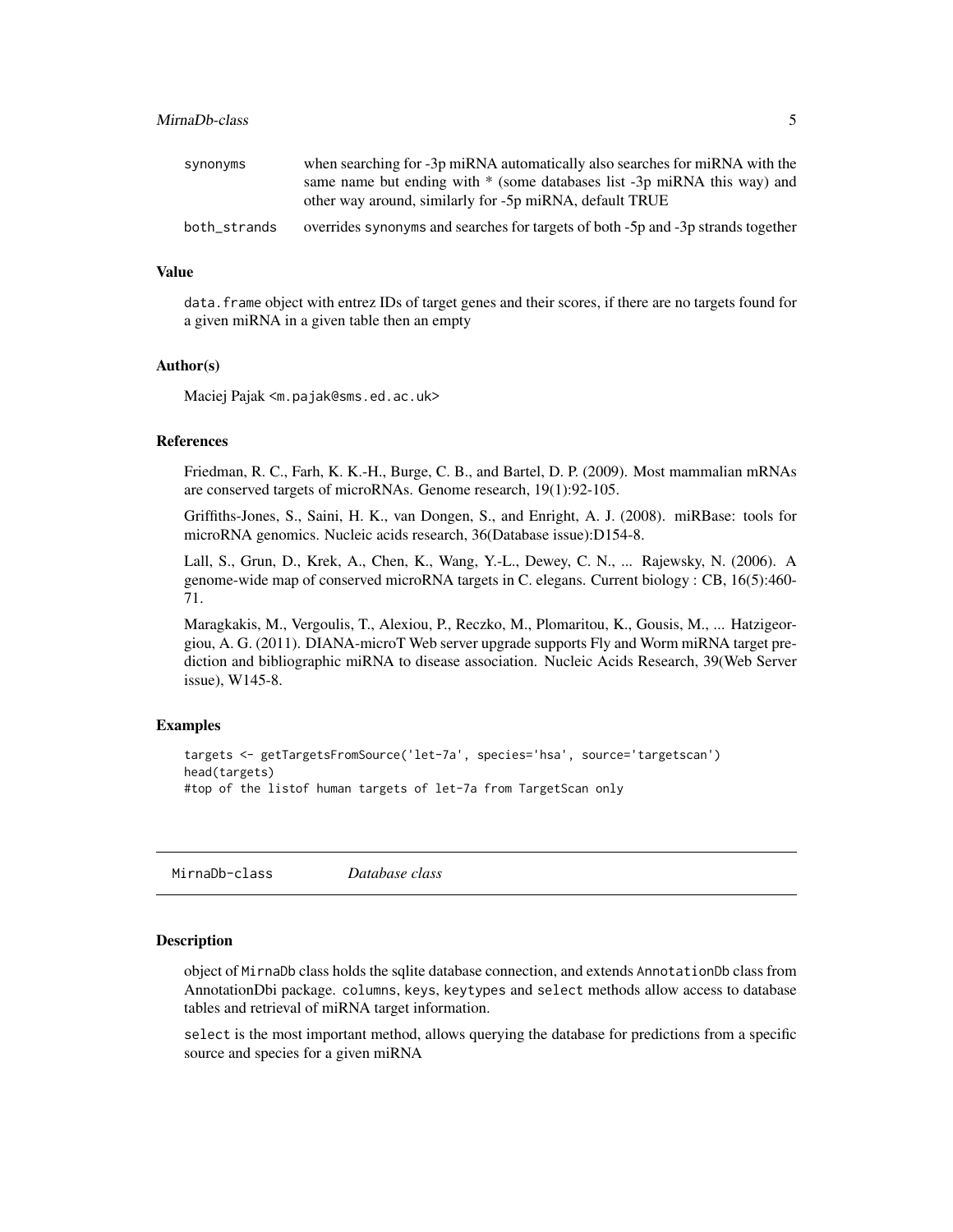### <span id="page-4-0"></span>MirnaDb-class 5

| synonyms     | when searching for -3p miRNA automatically also searches for miRNA with the      |
|--------------|----------------------------------------------------------------------------------|
|              | same name but ending with * (some databases list -3p miRNA this way) and         |
|              | other way around, similarly for -5p miRNA, default TRUE                          |
| both_strands | overrides synonyms and searches for targets of both -5p and -3p strands together |

#### Value

data. frame object with entrez IDs of target genes and their scores, if there are no targets found for a given miRNA in a given table then an empty

#### Author(s)

Maciej Pajak <m.pajak@sms.ed.ac.uk>

#### References

Friedman, R. C., Farh, K. K.-H., Burge, C. B., and Bartel, D. P. (2009). Most mammalian mRNAs are conserved targets of microRNAs. Genome research, 19(1):92-105.

Griffiths-Jones, S., Saini, H. K., van Dongen, S., and Enright, A. J. (2008). miRBase: tools for microRNA genomics. Nucleic acids research, 36(Database issue):D154-8.

Lall, S., Grun, D., Krek, A., Chen, K., Wang, Y.-L., Dewey, C. N., ... Rajewsky, N. (2006). A genome-wide map of conserved microRNA targets in C. elegans. Current biology : CB, 16(5):460- 71.

Maragkakis, M., Vergoulis, T., Alexiou, P., Reczko, M., Plomaritou, K., Gousis, M., ... Hatzigeorgiou, A. G. (2011). DIANA-microT Web server upgrade supports Fly and Worm miRNA target prediction and bibliographic miRNA to disease association. Nucleic Acids Research, 39(Web Server issue), W145-8.

### Examples

```
targets <- getTargetsFromSource('let-7a', species='hsa', source='targetscan')
head(targets)
#top of the listof human targets of let-7a from TargetScan only
```
MirnaDb-class *Database class*

#### Description

object of MirnaDb class holds the sqlite database connection, and extends AnnotationDb class from AnnotationDbi package. columns, keys, keytypes and select methods allow access to database tables and retrieval of miRNA target information.

select is the most important method, allows querying the database for predictions from a specific source and species for a given miRNA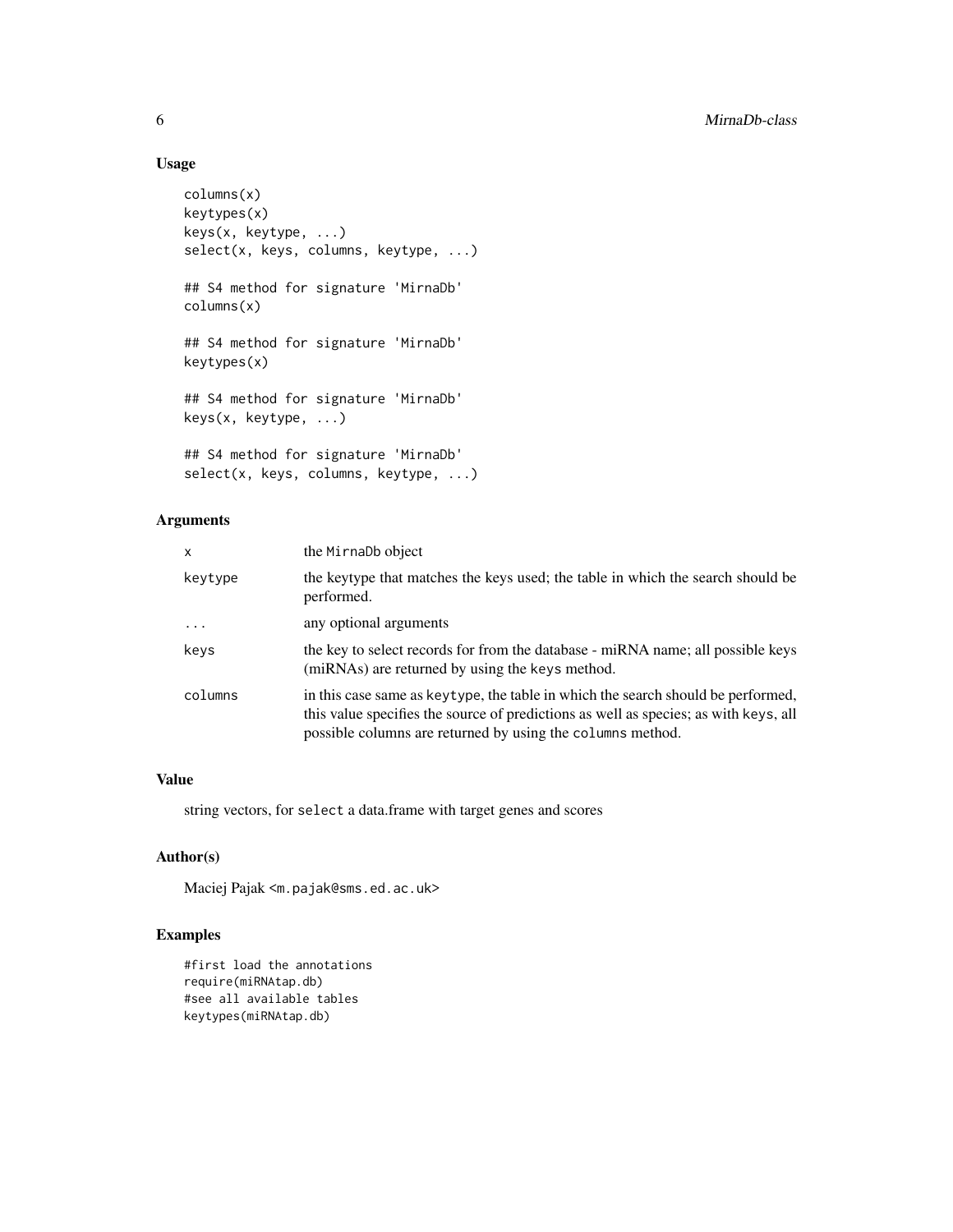# Usage

```
columns(x)
keytypes(x)
keys(x, keytype, ...)
select(x, keys, columns, keytype, ...)
## S4 method for signature 'MirnaDb'
columns(x)
## S4 method for signature 'MirnaDb'
keytypes(x)
## S4 method for signature 'MirnaDb'
keys(x, keytype, ...)
## S4 method for signature 'MirnaDb'
select(x, keys, columns, keytype, ...)
```
# Arguments

| X       | the MirnaDb object                                                                                                                                                                                                                      |
|---------|-----------------------------------------------------------------------------------------------------------------------------------------------------------------------------------------------------------------------------------------|
| keytype | the keytype that matches the keys used; the table in which the search should be<br>performed.                                                                                                                                           |
| $\cdot$ | any optional arguments                                                                                                                                                                                                                  |
| keys    | the key to select records for from the database - miRNA name; all possible keys<br>(miRNAs) are returned by using the keys method.                                                                                                      |
| columns | in this case same as key type, the table in which the search should be performed,<br>this value specifies the source of predictions as well as species; as with keys, all<br>possible columns are returned by using the columns method. |

# Value

string vectors, for select a data.frame with target genes and scores

# Author(s)

Maciej Pajak <m.pajak@sms.ed.ac.uk>

### Examples

```
#first load the annotations
require(miRNAtap.db)
#see all available tables
keytypes(miRNAtap.db)
```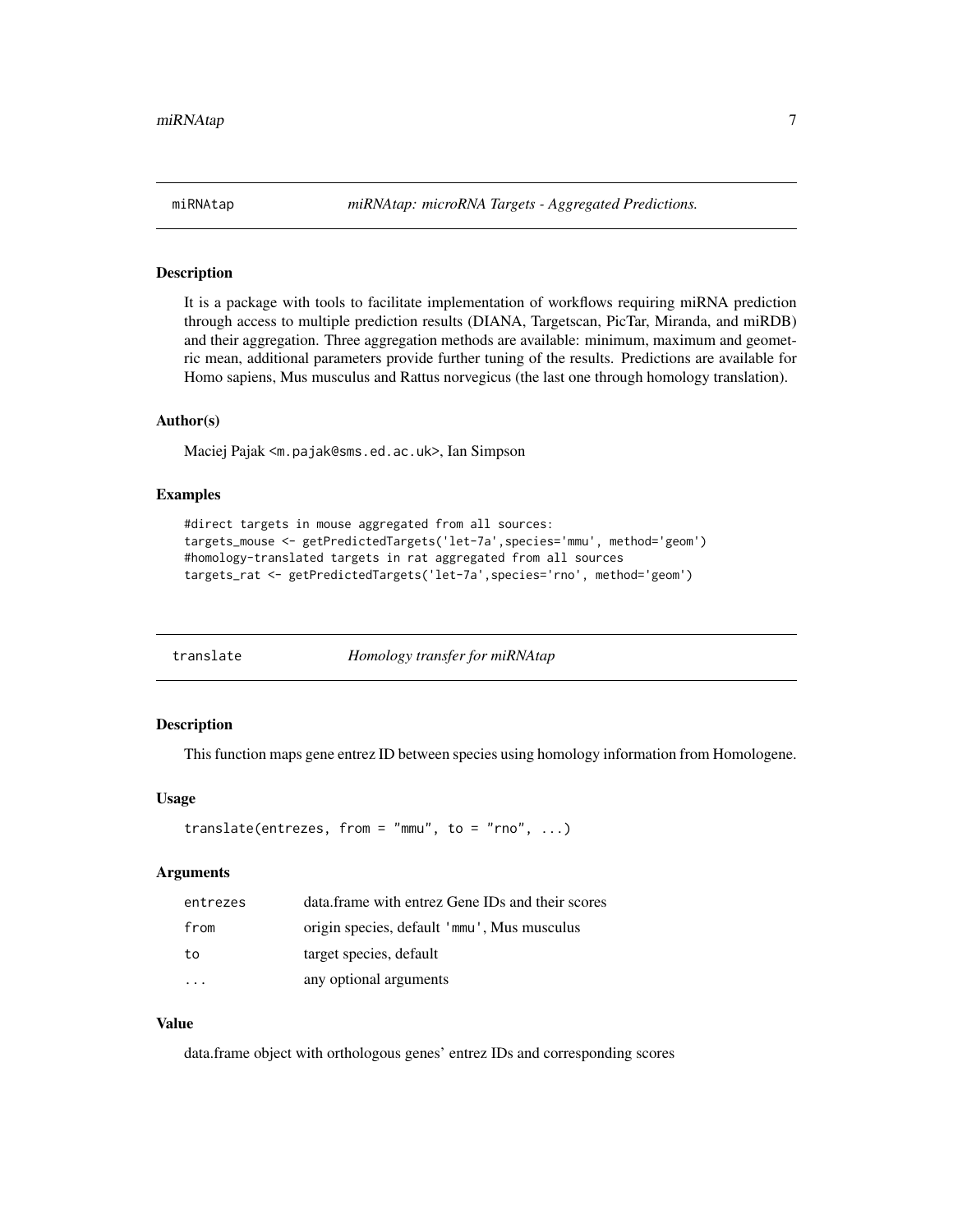### Description

It is a package with tools to facilitate implementation of workflows requiring miRNA prediction through access to multiple prediction results (DIANA, Targetscan, PicTar, Miranda, and miRDB) and their aggregation. Three aggregation methods are available: minimum, maximum and geometric mean, additional parameters provide further tuning of the results. Predictions are available for Homo sapiens, Mus musculus and Rattus norvegicus (the last one through homology translation).

#### Author(s)

Maciej Pajak <m.pajak@sms.ed.ac.uk>, Ian Simpson

#### Examples

```
#direct targets in mouse aggregated from all sources:
targets_mouse <- getPredictedTargets('let-7a',species='mmu', method='geom')
#homology-translated targets in rat aggregated from all sources
targets_rat <- getPredictedTargets('let-7a',species='rno', method='geom')
```

| translate | Homology transfer for miRNAtap |
|-----------|--------------------------------|
|           |                                |

#### Description

This function maps gene entrez ID between species using homology information from Homologene.

### Usage

```
translate(entrezes, from = "mmu", to = "rno", \ldots)
```
#### Arguments

| entrezes | data.frame with entrez Gene IDs and their scores |
|----------|--------------------------------------------------|
| from     | origin species, default 'mmu', Mus musculus      |
| to       | target species, default                          |
|          | any optional arguments                           |

#### Value

data.frame object with orthologous genes' entrez IDs and corresponding scores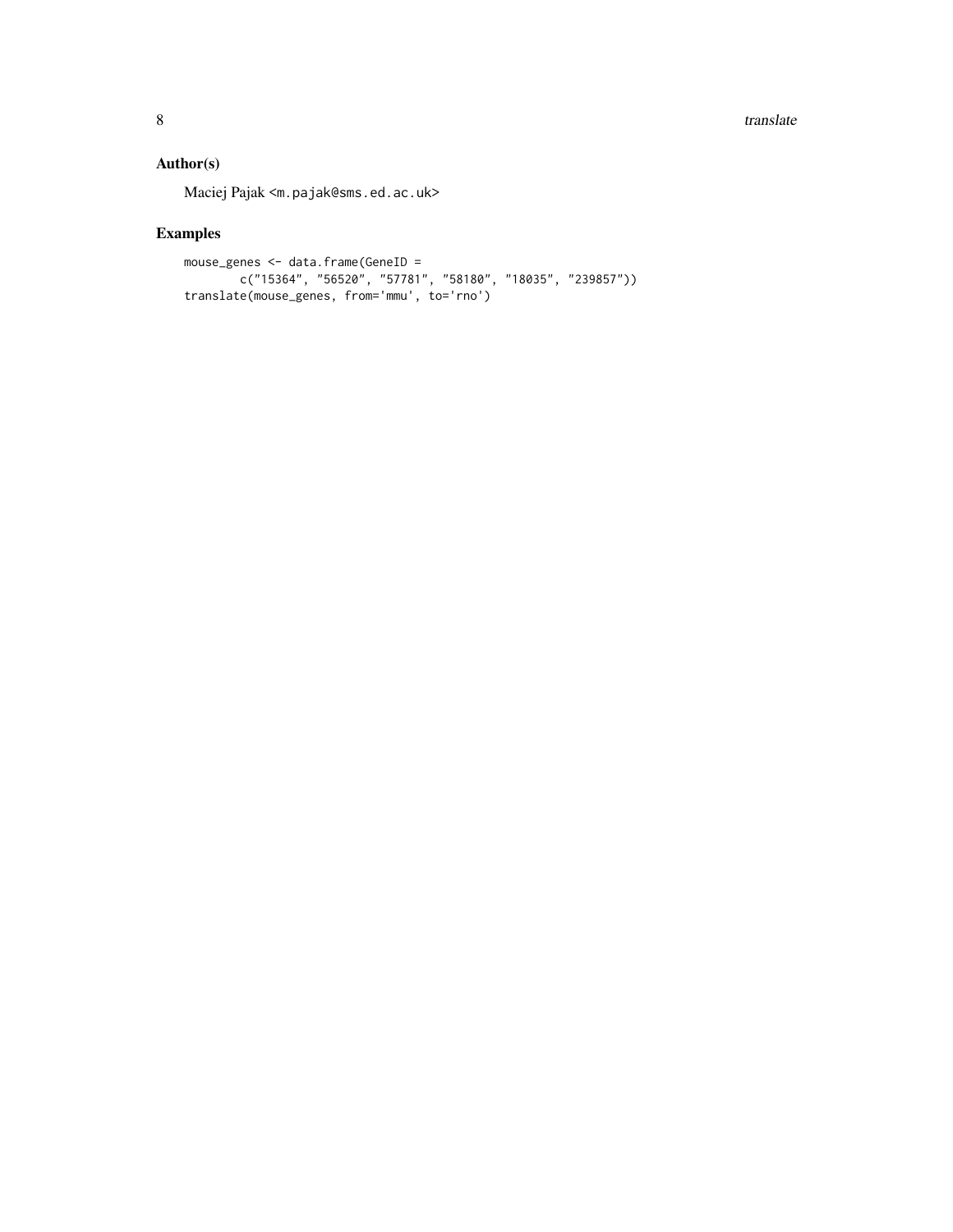8 translate the control of the control of the control of the control of the control of the control of the control of the control of the control of the control of the control of the control of the control of the control of

# Author(s)

Maciej Pajak <m.pajak@sms.ed.ac.uk>

# Examples

```
mouse_genes <- data.frame(GeneID =
       c("15364", "56520", "57781", "58180", "18035", "239857"))
translate(mouse_genes, from='mmu', to='rno')
```